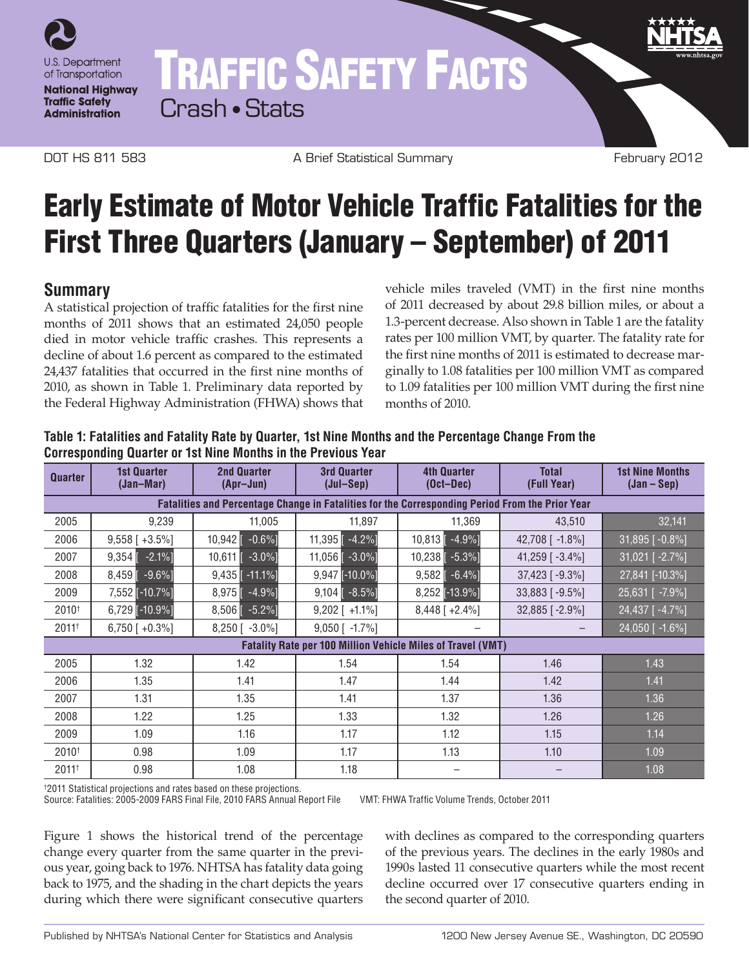

# TRAFFIC SAFETY FACTS Crash • Stats

DOT HS 811 583 **A Brief Statistical Summary February 2012** 

## Early Estimate of Motor Vehicle Traffic Fatalities for the First Three Quarters (January – September) of 2011

### **Summary**

A statistical projection of traffic fatalities for the first nine months of 2011 shows that an estimated 24,050 people died in motor vehicle traffic crashes. This represents a decline of about 1.6 percent as compared to the estimated 24,437 fatalities that occurred in the first nine months of 2010, as shown in Table 1. Preliminary data reported by the Federal Highway Administration (FHWA) shows that vehicle miles traveled (VMT) in the first nine months of 2011 decreased by about 29.8 billion miles, or about a 1.3-percent decrease. Also shown in Table 1 are the fatality rates per 100 million VMT, by quarter. The fatality rate for the first nine months of 2011 is estimated to decrease marginally to 1.08 fatalities per 100 million VMT as compared to 1.09 fatalities per 100 million VMT during the first nine months of 2010.

| <b>Quarter</b>                                                                                         | <b>1st Quarter</b><br>(Jan-Mar) | <b>2nd Quarter</b><br>(Apr-Jun) | <b>3rd Quarter</b><br>(Jul-Sep) | <b>4th Quarter</b><br>$(Oct-Dec)$ | <b>Total</b><br>(Full Year) | <b>1st Nine Months</b><br>$(Jan - Sep)$ |
|--------------------------------------------------------------------------------------------------------|---------------------------------|---------------------------------|---------------------------------|-----------------------------------|-----------------------------|-----------------------------------------|
| <b>Fatalities and Percentage Change in Fatalities for the Corresponding Period From the Prior Year</b> |                                 |                                 |                                 |                                   |                             |                                         |
| 2005                                                                                                   | 9,239                           | 11,005                          | 11,897                          | 11,369                            | 43,510                      | 32,141                                  |
| 2006                                                                                                   | $9,558$ [ +3.5%]                | 10,942<br>$-0.6\%$ ]            | 11,395 $-4.2\%$                 | $10,813$ $-4.9\%$                 | 42,708 [ -1.8%]             | $31,895$ [ $-0.8\%$ ]                   |
| 2007                                                                                                   | $-2.1%$<br>9,354                | 10,611<br>$-3.0\%$ ]            | 11,056 $\lceil -3.0\% \rceil$   | $10,238$ [ $-5.3%$ ]              | 41,259 [ $-3.4\%$ ]         | 31,021 [ -2.7%]                         |
| 2008                                                                                                   | $-9.6%$<br>8,459                | $9,435$ [ -11.1%]               | $9,947$ [-10.0%]                | $9,582$ $\lceil -6.4\% \rceil$    | $37,423$ [ -9.3%]           | 27,841 [-10.3%]                         |
| 2009                                                                                                   | 7,552 [-10.7%]                  | $-4.9%$ ]<br>8,975              | $9,104$ [ -8.5%]                | 8,252 [-13.9%]                    | 33,883 [-9.5%]              | 25,631 [ -7.9%]                         |
| 2010 <sup>+</sup>                                                                                      | $6,729$ [-10.9%]                | $-5.2%$ ]<br>8,506              | $9,202$ [ +1.1%]                | $8,448$ [ +2.4%]                  | $32,885$ [ -2.9%]           | 24,437 [-4.7%]                          |
| $2011^{+}$                                                                                             | $6,750$ [ +0.3%]                | $8,250$ [ $-3.0\%$ ]            | 9,050 [ -1.7%]                  |                                   |                             | 24,050 [ -1.6%]                         |
| <b>Fatality Rate per 100 Million Vehicle Miles of Travel (VMT)</b>                                     |                                 |                                 |                                 |                                   |                             |                                         |
| 2005                                                                                                   | 1.32                            | 1.42                            | 1.54                            | 1.54                              | 1.46                        | 1.43                                    |
| 2006                                                                                                   | 1.35                            | 1.41                            | 1.47                            | 1.44                              | 1.42                        | 1.41                                    |
| 2007                                                                                                   | 1.31                            | 1.35                            | 1.41                            | 1.37                              | 1.36                        | 1.36                                    |
| 2008                                                                                                   | 1.22                            | 1.25                            | 1.33                            | 1.32                              | 1.26                        | 1.26                                    |
| 2009                                                                                                   | 1.09                            | 1.16                            | 1.17                            | 1.12                              | 1.15                        | 1.14                                    |
| $2010^{+}$                                                                                             | 0.98                            | 1.09                            | 1.17                            | 1.13                              | 1.10                        | 1.09                                    |
| $2011$ <sup>+</sup>                                                                                    | 0.98                            | 1.08                            | 1.18                            |                                   |                             | 1.08                                    |

**Table 1: Fatalities and Fatality Rate by Quarter, 1st Nine Months and the Percentage Change From the Corresponding Quarter or 1st Nine Months in the Previous Year**

† 2011 Statistical projections and rates based on these projections.

Source: Fatalities: 2005-2009 FARS Final File, 2010 FARS Annual Report File VMT: FHWA Traffic Volume Trends, October 2011

Figure 1 shows the historical trend of the percentage change every quarter from the same quarter in the previous year, going back to 1976. NHTSA has fatality data going back to 1975, and the shading in the chart depicts the years during which there were significant consecutive quarters

with declines as compared to the corresponding quarters of the previous years. The declines in the early 1980s and 1990s lasted 11 consecutive quarters while the most recent decline occurred over 17 consecutive quarters ending in the second quarter of 2010.